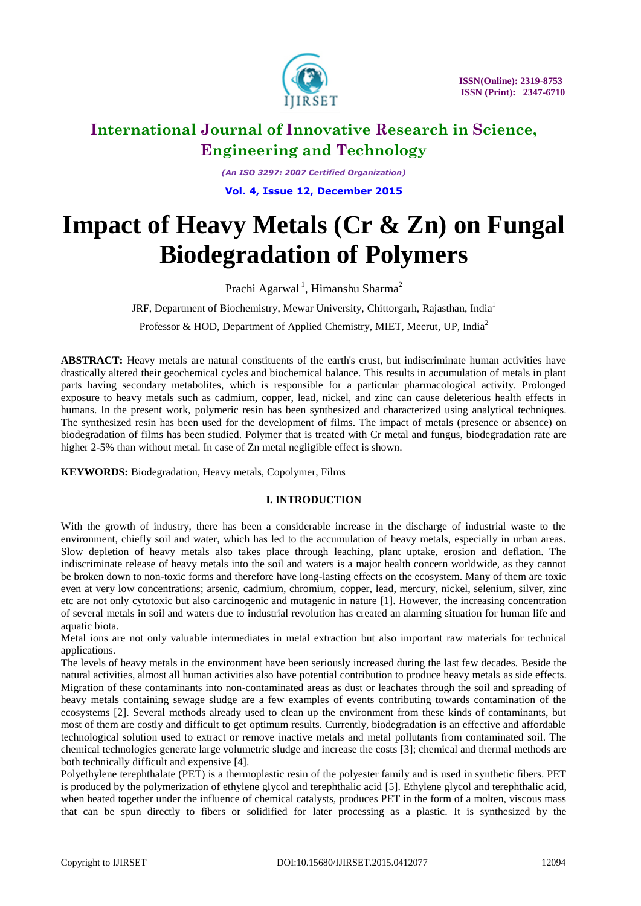

*(An ISO 3297: 2007 Certified Organization)* **Vol. 4, Issue 12, December 2015**

# **Impact of Heavy Metals (Cr & Zn) on Fungal Biodegradation of Polymers**

Prachi Agarwal<sup>1</sup>, Himanshu Sharma<sup>2</sup>

JRF, Department of Biochemistry, Mewar University, Chittorgarh, Rajasthan, India<sup>1</sup>

Professor & HOD, Department of Applied Chemistry, MIET, Meerut, UP, India<sup>2</sup>

**ABSTRACT:** Heavy metals are natural constituents of the earth's crust, but indiscriminate human activities have drastically altered their geochemical cycles and biochemical balance. This results in accumulation of metals in plant parts having secondary metabolites, which is responsible for a particular pharmacological activity. Prolonged exposure to heavy metals such as cadmium, copper, lead, nickel, and zinc can cause deleterious health effects in humans. In the present work, polymeric resin has been synthesized and characterized using analytical techniques. The synthesized resin has been used for the development of films. The impact of metals (presence or absence) on biodegradation of films has been studied. Polymer that is treated with Cr metal and fungus, biodegradation rate are higher 2-5% than without metal. In case of Zn metal negligible effect is shown.

**KEYWORDS:** Biodegradation, Heavy metals, Copolymer, Films

### **I. INTRODUCTION**

With the growth of industry, there has been a considerable increase in the discharge of industrial waste to the environment, chiefly soil and water, which has led to the accumulation of heavy metals, especially in urban areas. Slow depletion of heavy metals also takes place through leaching, plant uptake, erosion and deflation. The indiscriminate release of heavy metals into the soil and waters is a major health concern worldwide, as they cannot be broken down to non-toxic forms and therefore have long-lasting effects on the ecosystem. Many of them are toxic even at very low concentrations; arsenic, cadmium, chromium, copper, lead, mercury, nickel, selenium, silver, zinc etc are not only cytotoxic but also carcinogenic and mutagenic in nature [1]. However, the increasing concentration of several metals in soil and waters due to industrial revolution has created an alarming situation for human life and aquatic biota.

Metal ions are not only valuable intermediates in metal extraction but also important raw materials for technical applications.

The levels of heavy metals in the environment have been seriously increased during the last few decades. Beside the natural activities, almost all human activities also have potential contribution to produce heavy metals as side effects. Migration of these contaminants into non-contaminated areas as dust or leachates through the soil and spreading of heavy metals containing sewage sludge are a few examples of events contributing towards contamination of the ecosystems [2]. Several methods already used to clean up the environment from these kinds of contaminants, but most of them are costly and difficult to get optimum results. Currently, biodegradation is an effective and affordable technological solution used to extract or remove inactive metals and metal pollutants from contaminated soil. The chemical technologies generate large volumetric sludge and increase the costs [3]; chemical and thermal methods are both technically difficult and expensive [4].

Polyethylene terephthalate (PET) is a thermoplastic resin of the polyester family and is used in synthetic fibers. PET is produced by the polymerization of ethylene glycol and terephthalic acid [5]. Ethylene glycol and terephthalic acid, when heated together under the influence of chemical catalysts, produces PET in the form of a molten, viscous mass that can be spun directly to fibers or solidified for later processing as a plastic. It is synthesized by the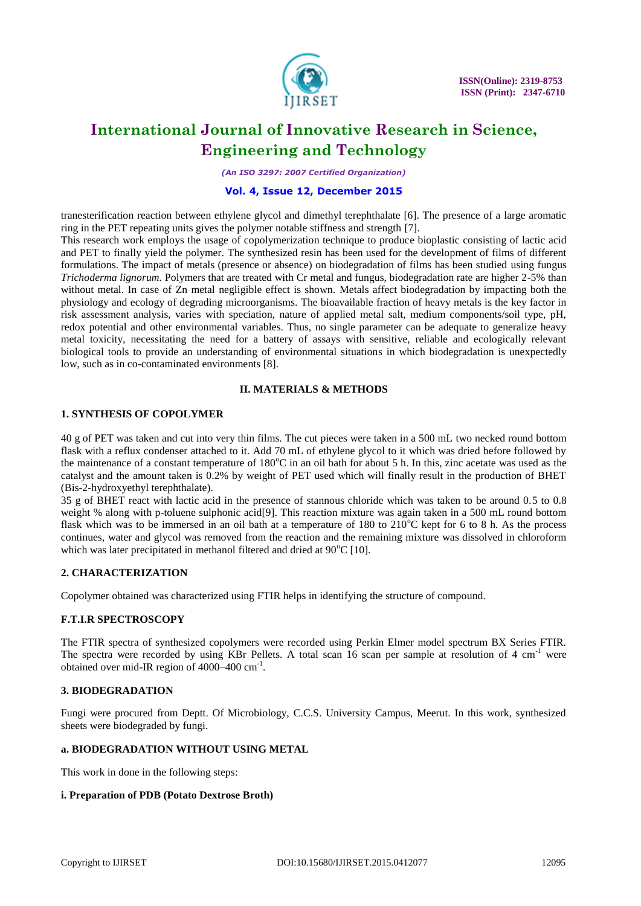

*(An ISO 3297: 2007 Certified Organization)*

### **Vol. 4, Issue 12, December 2015**

tranesterification reaction between ethylene glycol and dimethyl terephthalate [6]. The presence of a large aromatic ring in the PET repeating units gives the polymer notable stiffness and strength [7].

This research work employs the usage of copolymerization technique to produce bioplastic consisting of lactic acid and PET to finally yield the polymer. The synthesized resin has been used for the development of films of different formulations. The impact of metals (presence or absence) on biodegradation of films has been studied using fungus *Trichoderma lignorum.* Polymers that are treated with Cr metal and fungus, biodegradation rate are higher 2-5% than without metal. In case of Zn metal negligible effect is shown. Metals affect biodegradation by impacting both the physiology and ecology of degrading microorganisms. The bioavailable fraction of heavy metals is the key factor in risk assessment analysis, varies with speciation, nature of applied metal salt, medium components/soil type, pH, redox potential and other environmental variables. Thus, no single parameter can be adequate to generalize heavy metal toxicity, necessitating the need for a battery of assays with sensitive, reliable and ecologically relevant biological tools to provide an understanding of environmental situations in which biodegradation is unexpectedly low, such as in co-contaminated environments [8].

#### **II. MATERIALS & METHODS**

### **1. SYNTHESIS OF COPOLYMER**

40 g of PET was taken and cut into very thin films. The cut pieces were taken in a 500 mL two necked round bottom flask with a reflux condenser attached to it. Add 70 mL of ethylene glycol to it which was dried before followed by the maintenance of a constant temperature of  $180^{\circ}$ C in an oil bath for about 5 h. In this, zinc acetate was used as the catalyst and the amount taken is 0.2% by weight of PET used which will finally result in the production of BHET (Bis-2-hydroxyethyl terephthalate).

35 g of BHET react with lactic acid in the presence of stannous chloride which was taken to be around 0.5 to 0.8 weight % along with p-toluene sulphonic acid[9]. This reaction mixture was again taken in a 500 mL round bottom flask which was to be immersed in an oil bath at a temperature of  $180$  to  $210^{\circ}$ C kept for 6 to 8 h. As the process continues, water and glycol was removed from the reaction and the remaining mixture was dissolved in chloroform which was later precipitated in methanol filtered and dried at  $90^{\circ}$ C [10].

#### **2. CHARACTERIZATION**

Copolymer obtained was characterized using FTIR helps in identifying the structure of compound.

#### **F.T.I.R SPECTROSCOPY**

The FTIR spectra of synthesized copolymers were recorded using Perkin Elmer model spectrum BX Series FTIR. The spectra were recorded by using KBr Pellets. A total scan 16 scan per sample at resolution of 4 cm<sup>-1</sup> were obtained over mid-IR region of 4000-400 cm<sup>-1</sup>.

#### **3. BIODEGRADATION**

Fungi were procured from Deptt. Of Microbiology, C.C.S. University Campus, Meerut. In this work, synthesized sheets were biodegraded by fungi.

#### **a. BIODEGRADATION WITHOUT USING METAL**

This work in done in the following steps:

#### **i. Preparation of PDB (Potato Dextrose Broth)**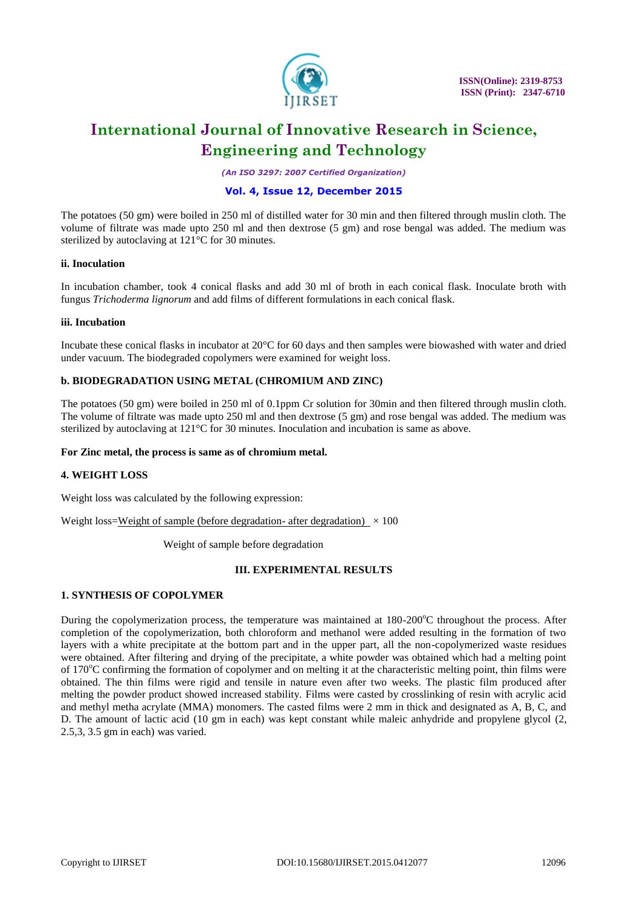

*(An ISO 3297: 2007 Certified Organization)*

### **Vol. 4, Issue 12, December 2015**

The potatoes (50 gm) were boiled in 250 ml of distilled water for 30 min and then filtered through muslin cloth. The volume of filtrate was made upto 250 ml and then dextrose (5 gm) and rose bengal was added. The medium was sterilized by autoclaving at 121°C for 30 minutes.

#### **ii. Inoculation**

In incubation chamber, took 4 conical flasks and add 30 ml of broth in each conical flask. Inoculate broth with fungus *Trichoderma lignorum* and add films of different formulations in each conical flask.

#### **iii. Incubation**

Incubate these conical flasks in incubator at 20°C for 60 days and then samples were biowashed with water and dried under vacuum. The biodegraded copolymers were examined for weight loss.

#### **b. BIODEGRADATION USING METAL (CHROMIUM AND ZINC)**

The potatoes (50 gm) were boiled in 250 ml of 0.1ppm Cr solution for 30min and then filtered through muslin cloth. The volume of filtrate was made upto 250 ml and then dextrose (5 gm) and rose bengal was added. The medium was sterilized by autoclaving at 121°C for 30 minutes. Inoculation and incubation is same as above.

#### **For Zinc metal, the process is same as of chromium metal.**

#### **4. WEIGHT LOSS**

Weight loss was calculated by the following expression:

Weight loss=Weight of sample (before degradation- after degradation)  $\times$  100

Weight of sample before degradation

#### **III. EXPERIMENTAL RESULTS**

#### **1. SYNTHESIS OF COPOLYMER**

During the copolymerization process, the temperature was maintained at 180-200°C throughout the process. After completion of the copolymerization, both chloroform and methanol were added resulting in the formation of two layers with a white precipitate at the bottom part and in the upper part, all the non-copolymerized waste residues were obtained. After filtering and drying of the precipitate, a white powder was obtained which had a melting point of  $170^{\circ}$ C confirming the formation of copolymer and on melting it at the characteristic melting point, thin films were obtained. The thin films were rigid and tensile in nature even after two weeks. The plastic film produced after melting the powder product showed increased stability. Films were casted by crosslinking of resin with acrylic acid and methyl metha acrylate (MMA) monomers. The casted films were 2 mm in thick and designated as A, B, C, and D. The amount of lactic acid (10 gm in each) was kept constant while maleic anhydride and propylene glycol (2, 2.5,3, 3.5 gm in each) was varied.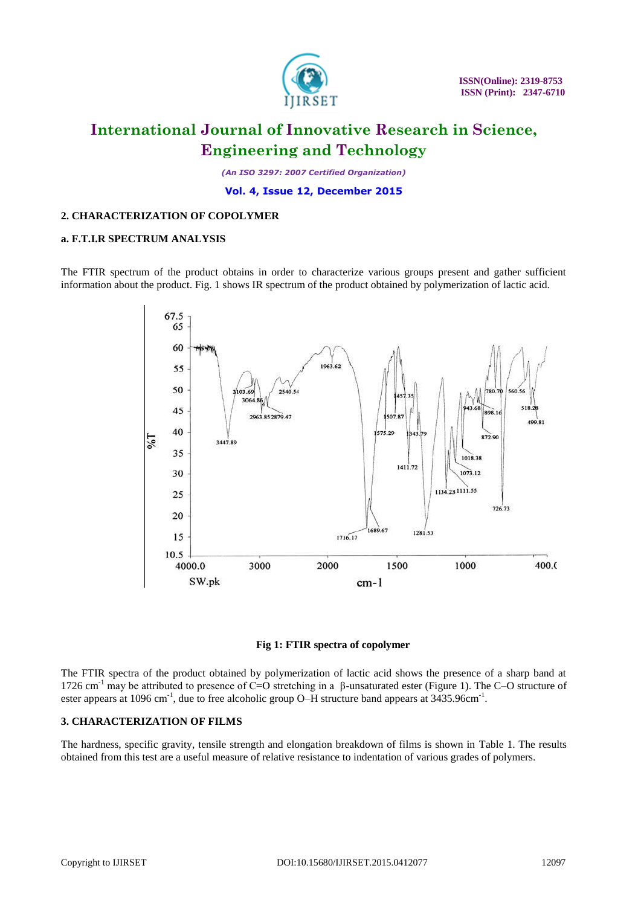

*(An ISO 3297: 2007 Certified Organization)*

**Vol. 4, Issue 12, December 2015**

#### **2. CHARACTERIZATION OF COPOLYMER**

#### **a. F.T.I.R SPECTRUM ANALYSIS**

The FTIR spectrum of the product obtains in order to characterize various groups present and gather sufficient information about the product. Fig. 1 shows IR spectrum of the product obtained by polymerization of lactic acid.





The FTIR spectra of the product obtained by polymerization of lactic acid shows the presence of a sharp band at 1726 cm<sup>-1</sup> may be attributed to presence of C=O stretching in a β-unsaturated ester (Figure 1). The C–O structure of ester appears at 1096 cm<sup>-1</sup>, due to free alcoholic group O–H structure band appears at 3435.96cm<sup>-1</sup>.

#### **3. CHARACTERIZATION OF FILMS**

The hardness, specific gravity, tensile strength and elongation breakdown of films is shown in Table 1. The results obtained from this test are a useful measure of relative resistance to indentation of various grades of polymers.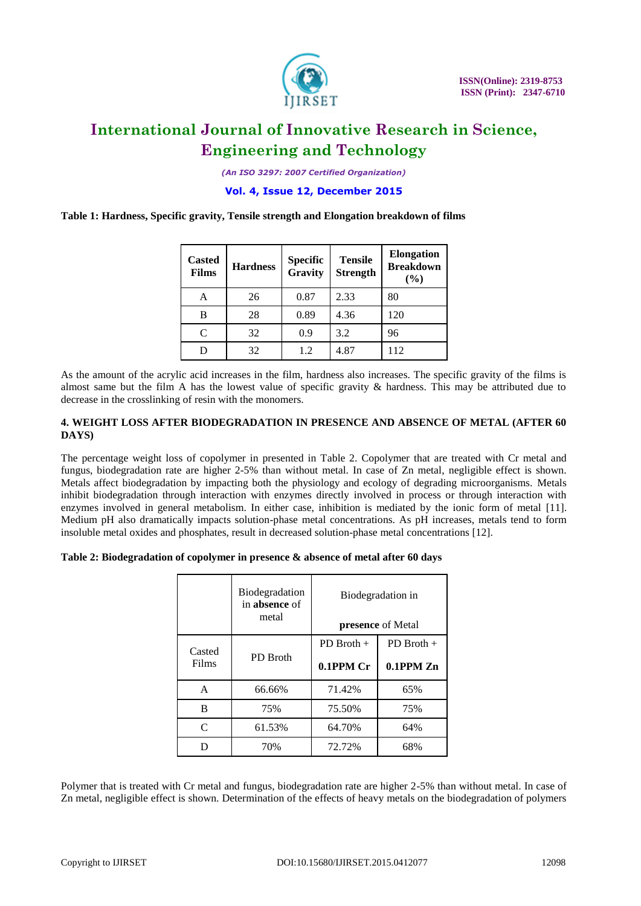

*(An ISO 3297: 2007 Certified Organization)*

**Vol. 4, Issue 12, December 2015**

**Table 1: Hardness, Specific gravity, Tensile strength and Elongation breakdown of films**

| <b>Casted</b><br><b>Films</b> | <b>Hardness</b> | <b>Specific</b><br>Gravity | <b>Tensile</b><br><b>Strength</b> | <b>Elongation</b><br><b>Breakdown</b><br>(%) |
|-------------------------------|-----------------|----------------------------|-----------------------------------|----------------------------------------------|
| А                             | 26              | 0.87                       | 2.33                              | 80                                           |
| В                             | 28              | 0.89                       | 4.36                              | 120                                          |
| $\subset$                     | 32              | 0.9                        | 3.2                               | 96                                           |
|                               | 32              | 1.2                        | 4.87                              | 112                                          |

As the amount of the acrylic acid increases in the film, hardness also increases. The specific gravity of the films is almost same but the film A has the lowest value of specific gravity & hardness. This may be attributed due to decrease in the crosslinking of resin with the monomers.

#### **4. WEIGHT LOSS AFTER BIODEGRADATION IN PRESENCE AND ABSENCE OF METAL (AFTER 60 DAYS)**

The percentage weight loss of copolymer in presented in Table 2. Copolymer that are treated with Cr metal and fungus, biodegradation rate are higher 2-5% than without metal. In case of Zn metal, negligible effect is shown. Metals affect biodegradation by impacting both the physiology and ecology of degrading microorganisms. Metals inhibit biodegradation through interaction with enzymes directly involved in process or through interaction with enzymes involved in general metabolism. In either case, inhibition is mediated by the ionic form of metal [11]. Medium pH also dramatically impacts solution-phase metal concentrations. As pH increases, metals tend to form insoluble metal oxides and phosphates, result in decreased solution-phase metal concentrations [12].

| Table 2: Biodegradation of copolymer in presence & absence of metal after 60 days |  |  |  |
|-----------------------------------------------------------------------------------|--|--|--|
|                                                                                   |  |  |  |

|                 | Biodegradation<br>in absence of<br>metal | Biodegradation in<br><b>presence</b> of Metal |                                |  |  |
|-----------------|------------------------------------------|-----------------------------------------------|--------------------------------|--|--|
| Casted<br>Films | <b>PD</b> Broth                          | $PD$ Broth $+$<br>0.1PPM Cr                   | $PD$ Broth +<br>$0.1$ PPM $Zn$ |  |  |
| A               | 66.66%                                   | 71.42%                                        | 65%                            |  |  |
| R               | 75%                                      | 75.50%                                        | 75%                            |  |  |
| $\subset$       | 61.53%                                   | 64.70%                                        | 64%                            |  |  |
| D               | 70%                                      | 72.72%                                        | 68%                            |  |  |

Polymer that is treated with Cr metal and fungus, biodegradation rate are higher 2-5% than without metal. In case of Zn metal, negligible effect is shown. Determination of the effects of heavy metals on the biodegradation of polymers